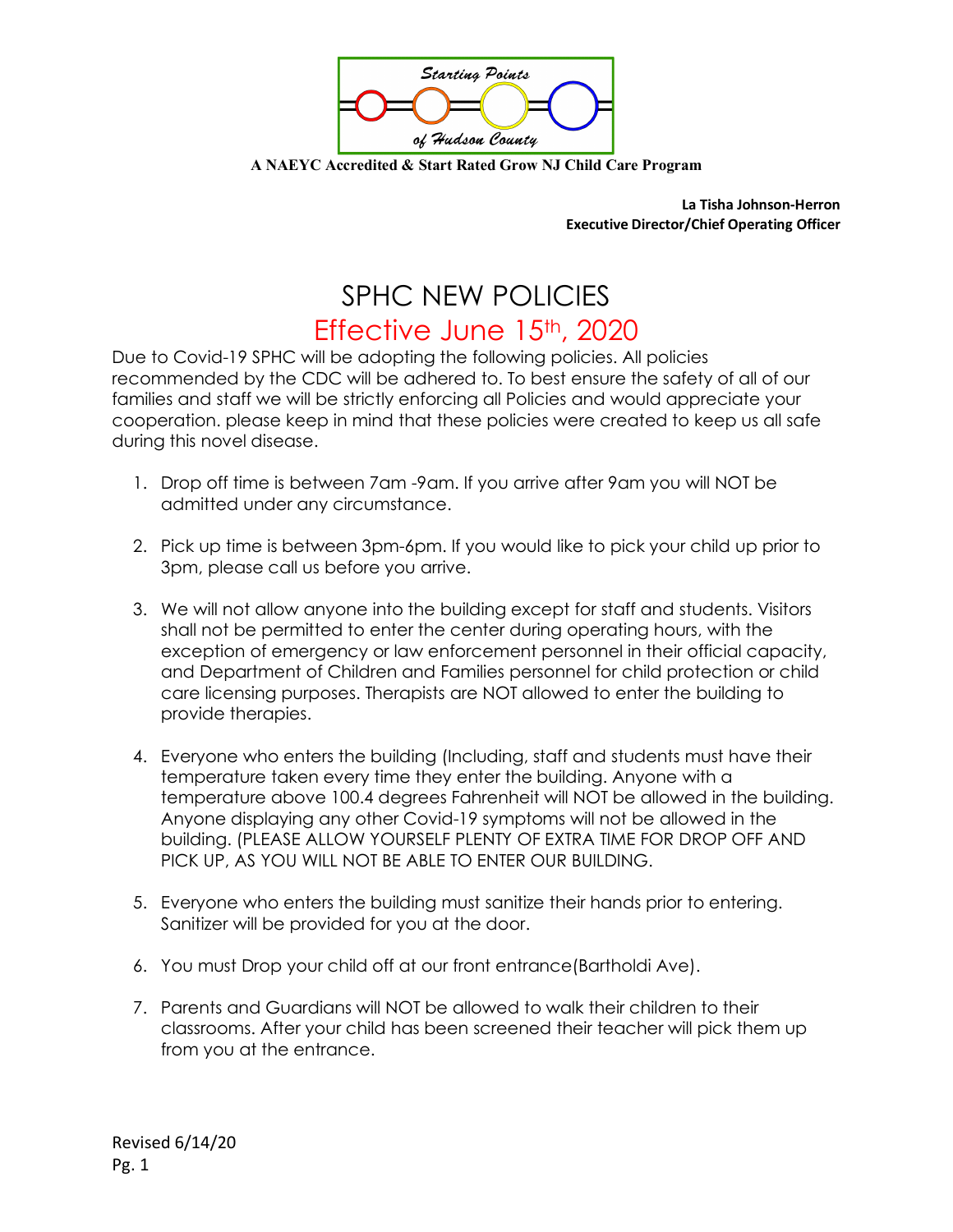

**A NAEYC Accredited & Start Rated Grow NJ Child Care Program**

**La Tisha Johnson-Herron Executive Director/Chief Operating Officer**

## SPHC NEW POLICIES Effective June 15<sup>th</sup>, 2020

Due to Covid-19 SPHC will be adopting the following policies. All policies recommended by the CDC will be adhered to. To best ensure the safety of all of our families and staff we will be strictly enforcing all Policies and would appreciate your cooperation. please keep in mind that these policies were created to keep us all safe during this novel disease.

- 1. Drop off time is between 7am -9am. If you arrive after 9am you will NOT be admitted under any circumstance.
- 2. Pick up time is between 3pm-6pm. If you would like to pick your child up prior to 3pm, please call us before you arrive.
- 3. We will not allow anyone into the building except for staff and students. Visitors shall not be permitted to enter the center during operating hours, with the exception of emergency or law enforcement personnel in their official capacity, and Department of Children and Families personnel for child protection or child care licensing purposes. Therapists are NOT allowed to enter the building to provide therapies.
- 4. Everyone who enters the building (Including, staff and students must have their temperature taken every time they enter the building. Anyone with a temperature above 100.4 degrees Fahrenheit will NOT be allowed in the building. Anyone displaying any other Covid-19 symptoms will not be allowed in the building. (PLEASE ALLOW YOURSELF PLENTY OF EXTRA TIME FOR DROP OFF AND PICK UP, AS YOU WILL NOT BE ABLE TO ENTER OUR BUILDING.
- 5. Everyone who enters the building must sanitize their hands prior to entering. Sanitizer will be provided for you at the door.
- 6. You must Drop your child off at our front entrance(Bartholdi Ave).
- 7. Parents and Guardians will NOT be allowed to walk their children to their classrooms. After your child has been screened their teacher will pick them up from you at the entrance.